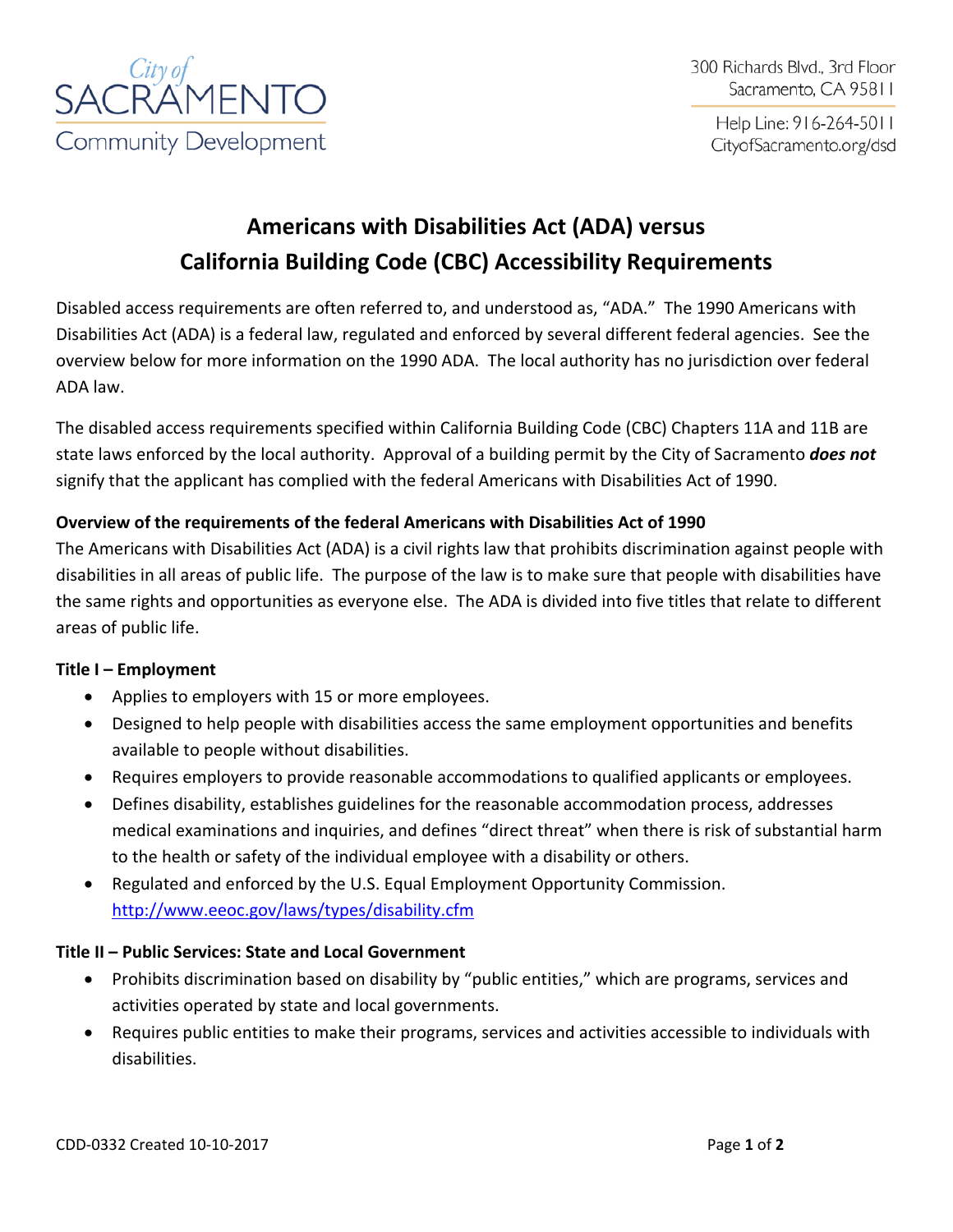

Help Line: 916-264-5011 CityofSacramento.org/dsd

# **Americans with Disabilities Act (ADA) versus California Building Code (CBC) Accessibility Requirements**

Disabled access requirements are often referred to, and understood as, "ADA." The 1990 Americans with Disabilities Act (ADA) is a federal law, regulated and enforced by several different federal agencies. See the overview below for more information on the 1990 ADA. The local authority has no jurisdiction over federal ADA law.

The disabled access requirements specified within California Building Code (CBC) Chapters 11A and 11B are state laws enforced by the local authority. Approval of a building permit by the City of Sacramento *does not* signify that the applicant has complied with the federal Americans with Disabilities Act of 1990.

## **Overview of the requirements of the federal Americans with Disabilities Act of 1990**

The Americans with Disabilities Act (ADA) is a civil rights law that prohibits discrimination against people with disabilities in all areas of public life. The purpose of the law is to make sure that people with disabilities have the same rights and opportunities as everyone else. The ADA is divided into five titles that relate to different areas of public life.

#### **Title I – Employment**

- Applies to employers with 15 or more employees.
- Designed to help people with disabilities access the same employment opportunities and benefits available to people without disabilities.
- Requires employers to provide reasonable accommodations to qualified applicants or employees.
- Defines disability, establishes guidelines for the reasonable accommodation process, addresses medical examinations and inquiries, and defines "direct threat" when there is risk of substantial harm to the health or safety of the individual employee with a disability or others.
- Regulated and enforced by the U.S. Equal Employment Opportunity Commission. <http://www.eeoc.gov/laws/types/disability.cfm>

#### **Title II – Public Services: State and Local Government**

- Prohibits discrimination based on disability by "public entities," which are programs, services and activities operated by state and local governments.
- Requires public entities to make their programs, services and activities accessible to individuals with disabilities.